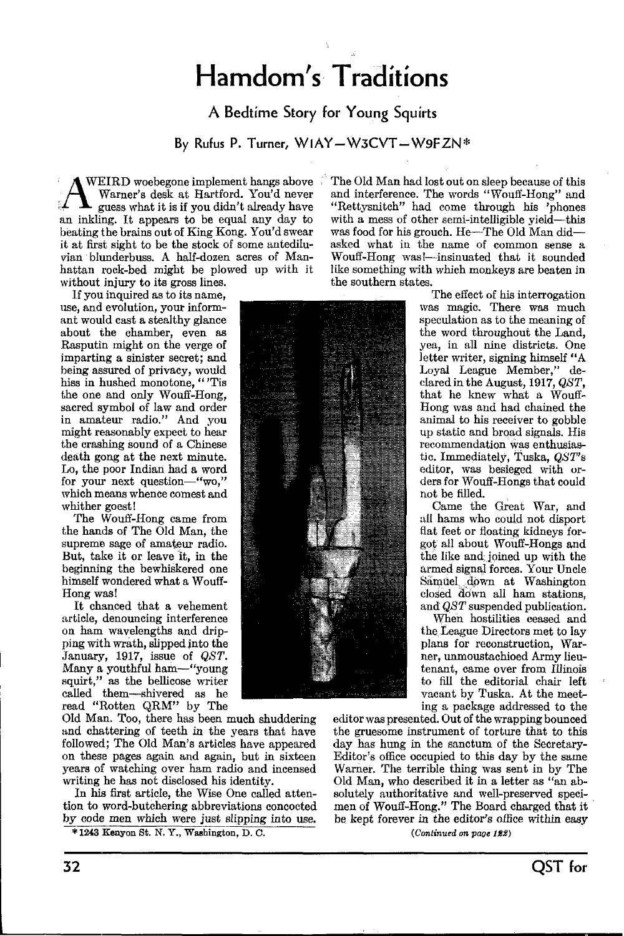# Hamdom's Traditions

### A Bedtime Story for Young Squirts

By Rufus P. Turner, WIAY-W3CVT-W9FZN\*

WEIRD woebegone implement hangs above Warner's desk at Hartford. You'd never an inkling. It appears to be equal any day to with a mess of other semi-intelligible yield—this beating the brains out of King Kong. You'd swear was food for his grouch. He—The Old Man did beating the brains out of King Kong. You'd swear vian blunderbuss. A half-dozen acres of Manhattan rock -bed might be plowed up with it without injury to its gross lines.

If you inquired as to its name, use, and evolution, your informant would cast a stealthy glance about the chamber, even as Rasputin might on the verge of imparting a sinister secret; and being assured of privacy, would hiss in hushed monotone, "'Tis the one and only Wouff-Hong, sacred symbol of law and order in amateur radio." And you might reasonably expect to hear the crashing sound of a Chinese death gong at the next minute. Lo, the poor Indian had a word for your next question-"wo," which means whence comest and whither goest!

The Wouff-Hong came from the hands of The Old Man, the supreme sage of amateur radio. But, take it or leave it, in the beginning the bewhiskered one himself wondered what a Wouff-Hong was!

It chanced that a vehement article, denouncing interference on ham wavelengths and dripping with wrath, slipped into the January, 1917, issue of QST. Many a youthful ham-"young squirt," as the bellicose writer called them-shivered as he read "Rotten QRM" by The

Old Man. Too, there has been much shuddering and chattering of teeth in the years that have followed; The Old Man's articles have appeared years of watching over ham radio and incensed writing he has not disclosed his identity.

In his first article, the Wise One called attention to word -butchering abbreviations concocted by code men which were just slipping into use.

\*1243 Kenyon St. N. Y., Washington, D. D.

The Old Man had lost out on sleep because of this and interference. The words "Wouff-Hong" and "Rettysnitch" had come through his 'phones with a mess of other semi-intelligible yield-this asked what in the name of common sense a Wouff-Hong was!--insinuated that it sounded like something with which monkeys are beaten in the southern states.<br>The effect of his interrogation



was magic. There was much speculation as to the meaning of<br>the word throughout the Land. yea, in all nine districts. One letter writer, signing himself "A Loyal League Member," declared in the August, 1917, QST, that he knew what a Wouff-Hong was and had chained the animal to his receiver to gobble up static and broad signals. His recommendation was enthusiastic. Immediately, Tuska, QST's editor, was besieged with orders for Wouff-Hongs that could not be filled.

Came the Great War, and all hams who could not disport flat feet or floating kidneys forgot all about Wouff-Hongs and the like and. joined up with the armed signal forces. Your Uncle Samuel down at Washington closed down all ham stations, and QST suspended publication.

When hostilities ceased and the. League Directors met to lay plans for reconstruction, Warner, unmoustachioed Army lieutenant, came over from Illinois to fill the editorial chair left vacant by Tuska. At the meeting a package addressed to the

on these pages again and again, but in sixteen Editor's office occupied to this day by the same<br>years of watching over ham radio and incensed Warner. The terrible thing was sent in by The editor was presented. Out of the wrapping bounced the gruesome instrument of torture that to this day has hung in the sanctum of the Secretary-Editor's office occupied to this day by the same Old Man, who described it in a letter as "an absolutely authoritative and well-preserved specimen of Wouff-Hong." The Board charged that it be kept forever in the editor's office within easy  $(Conlimited\ on\ page\ 122)$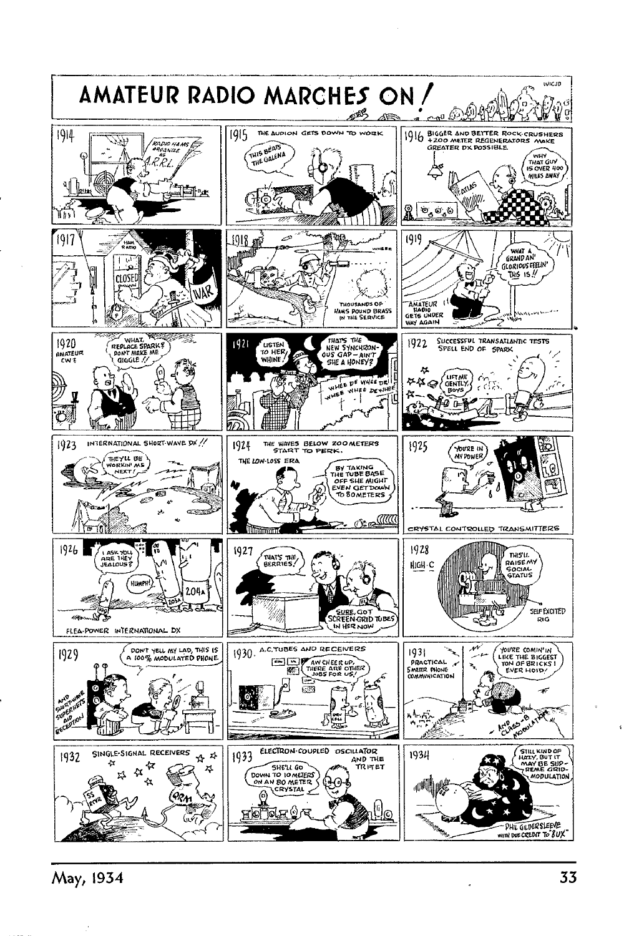

May, 1934